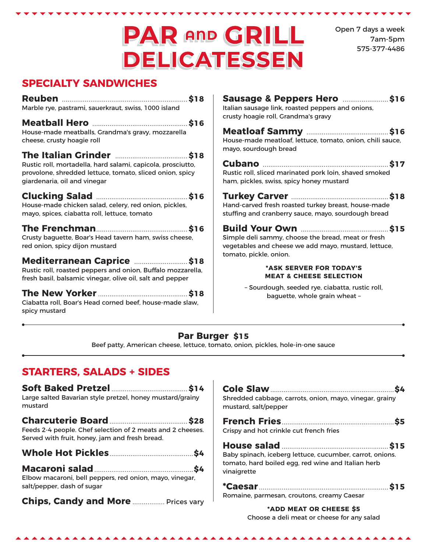# **PAR AND GRILL DELICATESSEN**

Open 7 days a week 7am-5pm 575-377-4486

### **SPECIALTY SANDWICHES**

| Marble rye, pastrami, sauerkraut, swiss, 1000 island                                                                                                                                                                                       | Sausage & Peppers Hero \$16<br>Italian sausage link, roasted peppers and onions,<br>crusty hoagie roll, Grandma's gravy                                                                  |  |
|--------------------------------------------------------------------------------------------------------------------------------------------------------------------------------------------------------------------------------------------|------------------------------------------------------------------------------------------------------------------------------------------------------------------------------------------|--|
| House-made meatballs, Grandma's gravy, mozzarella<br>cheese, crusty hoagie roll<br>Rustic roll, mortadella, hard salami, capicola, prosciutto,<br>provolone, shredded lettuce, tomato, sliced onion, spicy<br>giardenaria, oil and vinegar | House-made meatloaf, lettuce, tomato, onion, chili sauce,<br>mayo, sourdough bread<br>Rustic roll, sliced marinated pork loin, shaved smoked<br>ham, pickles, swiss, spicy honey mustard |  |
|                                                                                                                                                                                                                                            |                                                                                                                                                                                          |  |
| House-made chicken salad, celery, red onion, pickles,                                                                                                                                                                                      | Hand-carved fresh roasted turkey breast, house-made                                                                                                                                      |  |
| mayo, spices, ciabatta roll, lettuce, tomato                                                                                                                                                                                               | stuffing and cranberry sauce, mayo, sourdough bread                                                                                                                                      |  |
|                                                                                                                                                                                                                                            |                                                                                                                                                                                          |  |
| Crusty baguette, Boar's Head tavern ham, swiss cheese,                                                                                                                                                                                     | Simple deli sammy, choose the bread, meat or fresh                                                                                                                                       |  |
| red onion, spicy dijon mustard                                                                                                                                                                                                             | vegetables and cheese we add mayo, mustard, lettuce,                                                                                                                                     |  |
| Mediterranean Caprice  \$18                                                                                                                                                                                                                | tomato, pickle, onion.                                                                                                                                                                   |  |
| Rustic roll, roasted peppers and onion, Buffalo mozzarella,                                                                                                                                                                                | *ASK SERVER FOR TODAY'S                                                                                                                                                                  |  |
| fresh basil, balsamic vinegar, olive oil, salt and pepper                                                                                                                                                                                  | <b>MEAT &amp; CHEESE SELECTION</b>                                                                                                                                                       |  |
| Ciabatta roll, Boar's Head corned beef, house-made slaw,<br>spicy mustard                                                                                                                                                                  | - Sourdough, seeded rye, ciabatta, rustic roll,<br>baguette, whole grain wheat -                                                                                                         |  |

#### **Par Burger \$15**

Beef patty, American cheese, lettuce, tomato, onion, pickles, hole-in-one sauce

### **STARTERS, SALADS + SIDES**

| Large salted Bavarian style pretzel, honey mustard/grainy<br>mustard                                         |
|--------------------------------------------------------------------------------------------------------------|
| Feeds 2-4 people. Chef selection of 2 meats and 2 cheeses.<br>Served with fruit, honey, jam and fresh bread. |
|                                                                                                              |
|                                                                                                              |
| Elbow macaroni, bell peppers, red onion, mayo, vinegar,<br>salt/pepper, dash of sugar                        |

| Shredded cabbage, carrots, onion, mayo, vinegar, grainy<br>mustard, salt/pepper                                               |
|-------------------------------------------------------------------------------------------------------------------------------|
| Crispy and hot crinkle cut french fries                                                                                       |
| Baby spinach, iceberg lettuce, cucumber, carrot, onions.<br>tomato, hard boiled egg, red wine and Italian herb<br>vinaigrette |
| Romaine, parmesan, croutons, creamy Caesar                                                                                    |
| *ADD MEAT OR CHEESE \$5                                                                                                       |

Choose a deli meat or cheese for any salad

**AAAAAA**